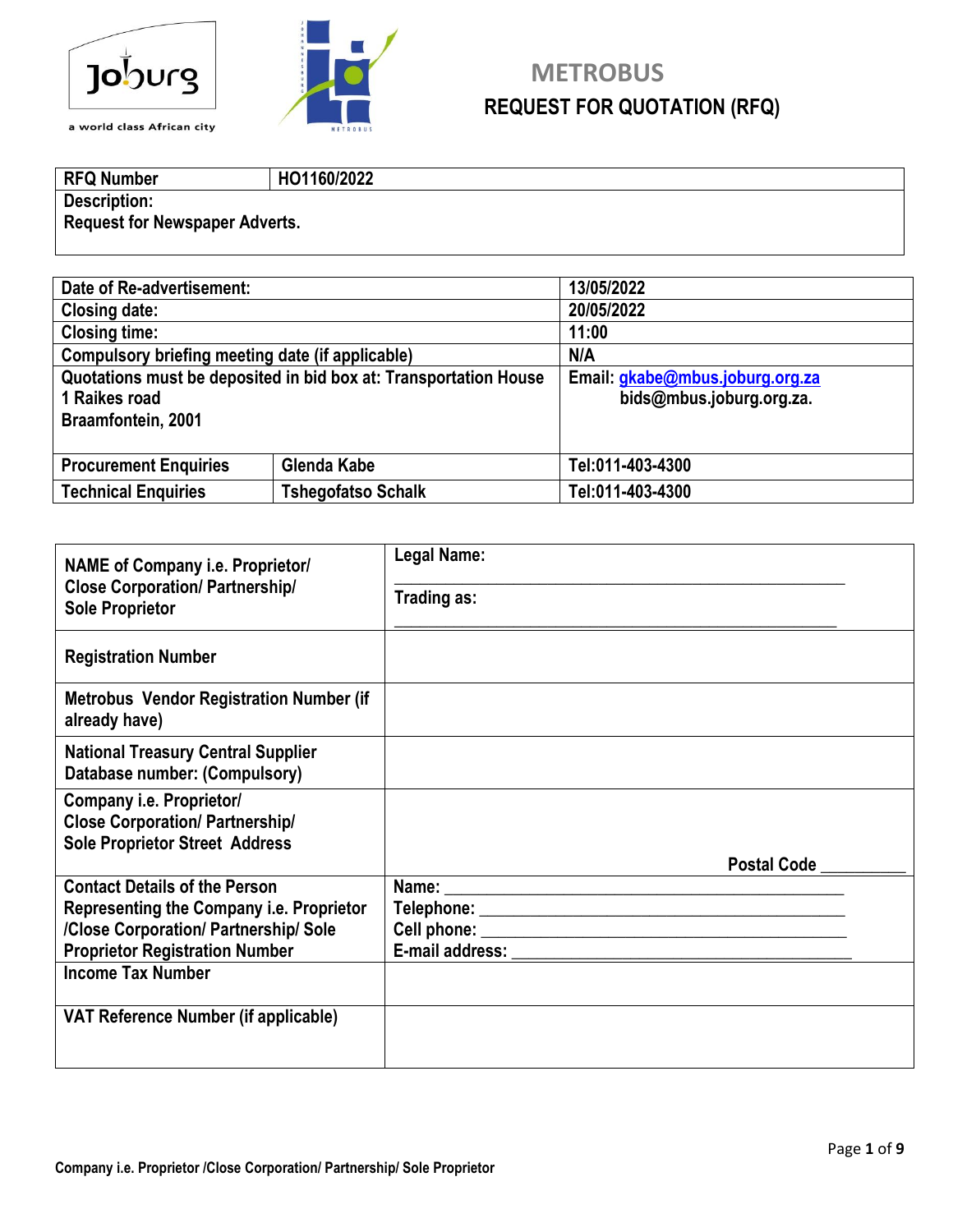



# **Joburg** METROBUS **REQUEST FOR QUOTATION (RFQ) REQUEST FOR QUOTATION (RFQ)**

**RFQ Number HO1160/2022 Description: Request for Newspaper Adverts.**

| Date of Re-advertisement:                               |                                                                  | 13/05/2022                      |  |
|---------------------------------------------------------|------------------------------------------------------------------|---------------------------------|--|
| <b>Closing date:</b>                                    |                                                                  | 20/05/2022                      |  |
| <b>Closing time:</b>                                    |                                                                  | 11:00                           |  |
| Compulsory briefing meeting date (if applicable)        |                                                                  | N/A                             |  |
|                                                         | Quotations must be deposited in bid box at: Transportation House | Email: gkabe@mbus.joburg.org.za |  |
| 1 Raikes road                                           |                                                                  | bids@mbus.joburg.org.za.        |  |
| Braamfontein, 2001                                      |                                                                  |                                 |  |
|                                                         |                                                                  |                                 |  |
| Glenda Kabe<br><b>Procurement Enquiries</b>             |                                                                  | Tel:011-403-4300                |  |
| <b>Technical Enquiries</b><br><b>Tshegofatso Schalk</b> |                                                                  | Tel:011-403-4300                |  |

| <b>NAME of Company i.e. Proprietor/</b>                                    | Legal Name: |
|----------------------------------------------------------------------------|-------------|
| <b>Close Corporation/ Partnership/</b><br><b>Sole Proprietor</b>           | Trading as: |
| <b>Registration Number</b>                                                 |             |
| <b>Metrobus Vendor Registration Number (if</b><br>already have)            |             |
| <b>National Treasury Central Supplier</b><br>Database number: (Compulsory) |             |
| Company i.e. Proprietor/                                                   |             |
| <b>Close Corporation/ Partnership/</b>                                     |             |
| <b>Sole Proprietor Street Address</b>                                      | Postal Code |
| <b>Contact Details of the Person</b>                                       |             |
| Representing the Company i.e. Proprietor                                   |             |
| /Close Corporation/ Partnership/ Sole                                      |             |
| <b>Proprietor Registration Number</b>                                      |             |
| <b>Income Tax Number</b>                                                   |             |
| VAT Reference Number (if applicable)                                       |             |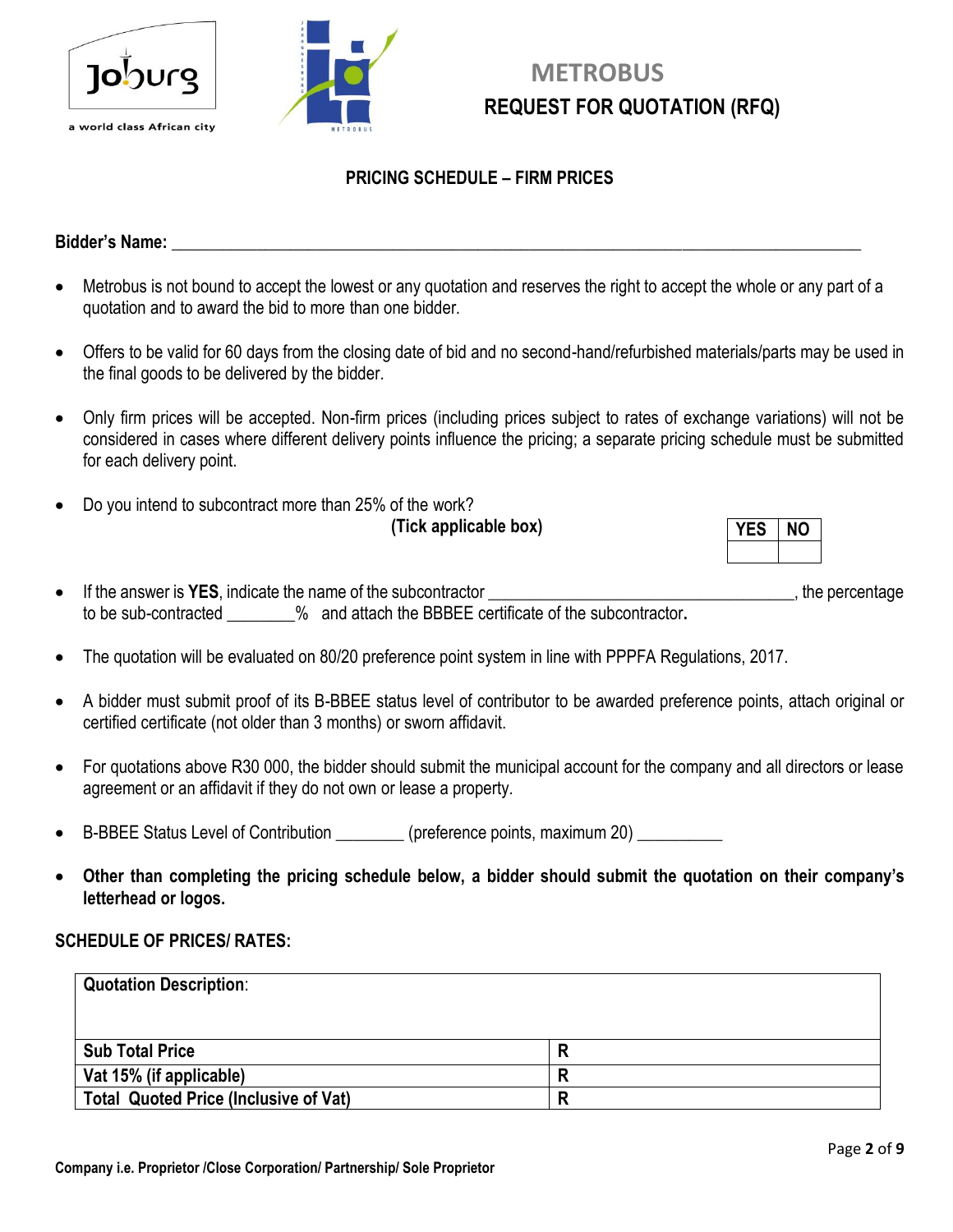



# **METROBUS REQUEST FOR QUOTATION (RFQ)**

#### **PRICING SCHEDULE – FIRM PRICES**

#### **Bidder's Name: Contract Contract Contract Contract Contract Contract Contract Contract Contract Contract Contract Contract Contract Contract Contract Contract Contract Contract Contract Contract Contract Contract Contra**

- Metrobus is not bound to accept the lowest or any quotation and reserves the right to accept the whole or any part of a quotation and to award the bid to more than one bidder.
- Offers to be valid for 60 days from the closing date of bid and no second-hand/refurbished materials/parts may be used in the final goods to be delivered by the bidder.
- Only firm prices will be accepted. Non-firm prices (including prices subject to rates of exchange variations) will not be considered in cases where different delivery points influence the pricing; a separate pricing schedule must be submitted for each delivery point.
- Do you intend to subcontract more than 25% of the work? **(Tick applicable box)**

| Ν<br>۱ |
|--------|
|        |

- If the answer is **YES**, indicate the name of the subcontractor \_\_\_\_\_\_\_\_\_\_\_\_\_\_\_\_\_\_\_\_\_\_\_\_\_\_\_\_\_\_\_\_\_\_\_\_, the percentage to be sub-contracted \_\_\_\_\_\_\_\_% and attach the BBBEE certificate of the subcontractor**.**
- The quotation will be evaluated on 80/20 preference point system in line with PPPFA Regulations, 2017.
- A bidder must submit proof of its B-BBEE status level of contributor to be awarded preference points, attach original or certified certificate (not older than 3 months) or sworn affidavit.
- For quotations above R30 000, the bidder should submit the municipal account for the company and all directors or lease agreement or an affidavit if they do not own or lease a property.
- B-BBEE Status Level of Contribution (preference points, maximum 20)
- **Other than completing the pricing schedule below, a bidder should submit the quotation on their company's letterhead or logos.**

#### **SCHEDULE OF PRICES/ RATES:**

| <b>Quotation Description:</b>                |  |
|----------------------------------------------|--|
|                                              |  |
| <b>Sub Total Price</b>                       |  |
| Vat 15% (if applicable)                      |  |
| <b>Total Quoted Price (Inclusive of Vat)</b> |  |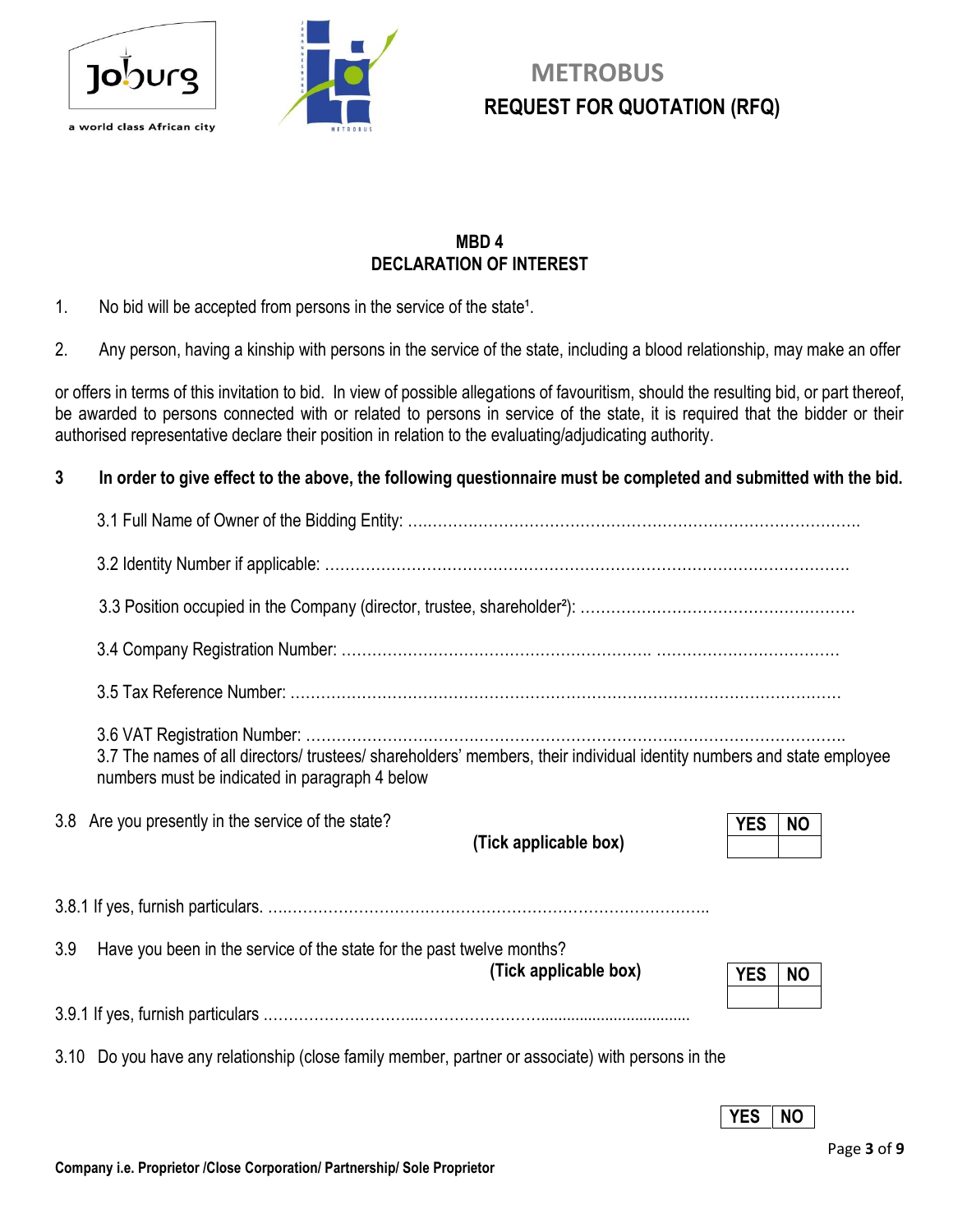



# **METROBUS REQUEST FOR QUOTATION (RFQ) REQUEST FOR QUOTATION (RFQ)**

#### **MBD 4 DECLARATION OF INTEREST**

- 1. No bid will be accepted from persons in the service of the state<sup>1</sup>.
- 2. Any person, having a kinship with persons in the service of the state, including a blood relationship, may make an offer

or offers in terms of this invitation to bid. In view of possible allegations of favouritism, should the resulting bid, or part thereof, be awarded to persons connected with or related to persons in service of the state, it is required that the bidder or their authorised representative declare their position in relation to the evaluating/adjudicating authority.

#### **3 In order to give effect to the above, the following questionnaire must be completed and submitted with the bid.**

|     | 3.7 The names of all directors/ trustees/ shareholders' members, their individual identity numbers and state employee<br>numbers must be indicated in paragraph 4 below |                         |  |
|-----|-------------------------------------------------------------------------------------------------------------------------------------------------------------------------|-------------------------|--|
|     | 3.8 Are you presently in the service of the state?<br>(Tick applicable box)                                                                                             | <b>YES</b><br><b>NO</b> |  |
|     |                                                                                                                                                                         |                         |  |
| 3.9 | Have you been in the service of the state for the past twelve months?<br>(Tick applicable box)                                                                          | <b>YES</b><br><b>NO</b> |  |
|     |                                                                                                                                                                         |                         |  |
|     | 3.10 Do you have any relationship (close family member, partner or associate) with persons in the                                                                       |                         |  |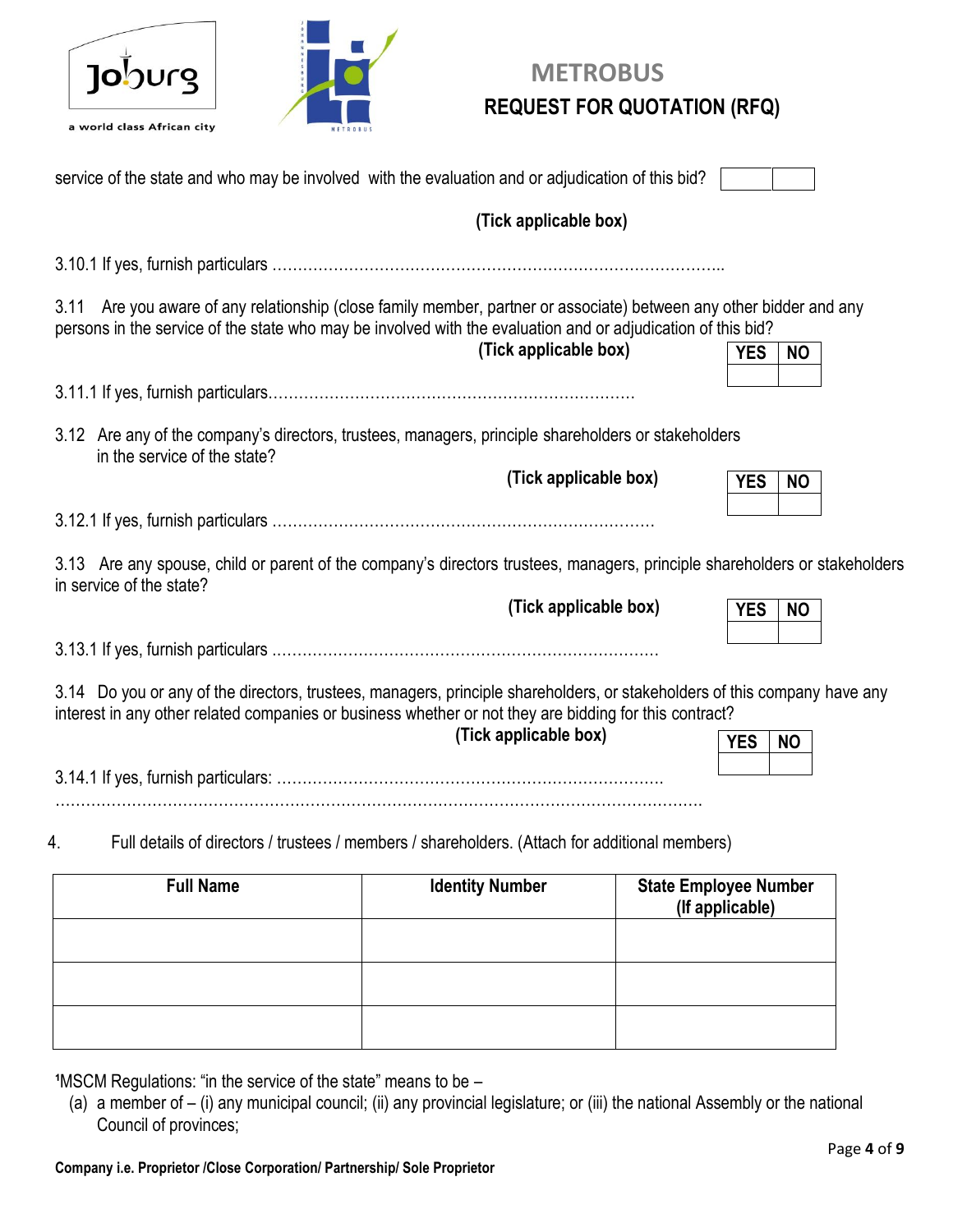| I.<br>lO | nuro |
|----------|------|
|          |      |



# **METROBUS REQUEST FOR QUOTATION (RFQ)**

| service of the state and who may be involved with the evaluation and or adjudication of this bid?                                                                                                                                      |                                                                                                |                              |  |
|----------------------------------------------------------------------------------------------------------------------------------------------------------------------------------------------------------------------------------------|------------------------------------------------------------------------------------------------|------------------------------|--|
|                                                                                                                                                                                                                                        | (Tick applicable box)                                                                          |                              |  |
|                                                                                                                                                                                                                                        |                                                                                                |                              |  |
| Are you aware of any relationship (close family member, partner or associate) between any other bidder and any<br>3.11<br>persons in the service of the state who may be involved with the evaluation and or adjudication of this bid? | (Tick applicable box)                                                                          | <b>YES</b><br><b>NO</b>      |  |
|                                                                                                                                                                                                                                        |                                                                                                |                              |  |
| 3.12 Are any of the company's directors, trustees, managers, principle shareholders or stakeholders<br>in the service of the state?                                                                                                    |                                                                                                |                              |  |
|                                                                                                                                                                                                                                        | (Tick applicable box)                                                                          | <b>YES</b><br><b>NO</b>      |  |
|                                                                                                                                                                                                                                        |                                                                                                |                              |  |
| 3.13 Are any spouse, child or parent of the company's directors trustees, managers, principle shareholders or stakeholders<br>in service of the state?                                                                                 |                                                                                                |                              |  |
|                                                                                                                                                                                                                                        | (Tick applicable box)                                                                          | <b>YES</b><br><b>NO</b>      |  |
|                                                                                                                                                                                                                                        |                                                                                                |                              |  |
| 3.14 Do you or any of the directors, trustees, managers, principle shareholders, or stakeholders of this company have any<br>interest in any other related companies or business whether or not they are bidding for this contract?    | (Tick applicable box)                                                                          | <b>YES</b><br><b>NO</b>      |  |
|                                                                                                                                                                                                                                        |                                                                                                |                              |  |
| 4.                                                                                                                                                                                                                                     | Full details of directors / trustees / members / shareholders. (Attach for additional members) |                              |  |
| <b>Full Name</b>                                                                                                                                                                                                                       | <b>Identity Number</b>                                                                         | <b>State Employee Number</b> |  |
|                                                                                                                                                                                                                                        |                                                                                                | (If applicable)              |  |

| . . | (If applicable) |
|-----|-----------------|
|     |                 |
|     |                 |
|     |                 |
|     |                 |
|     |                 |
|     |                 |

**1MSCM Regulations: "in the service of the state" means to be –** 

(a) a member of – (i) any municipal council; (ii) any provincial legislature; or (iii) the national Assembly or the national Council of provinces;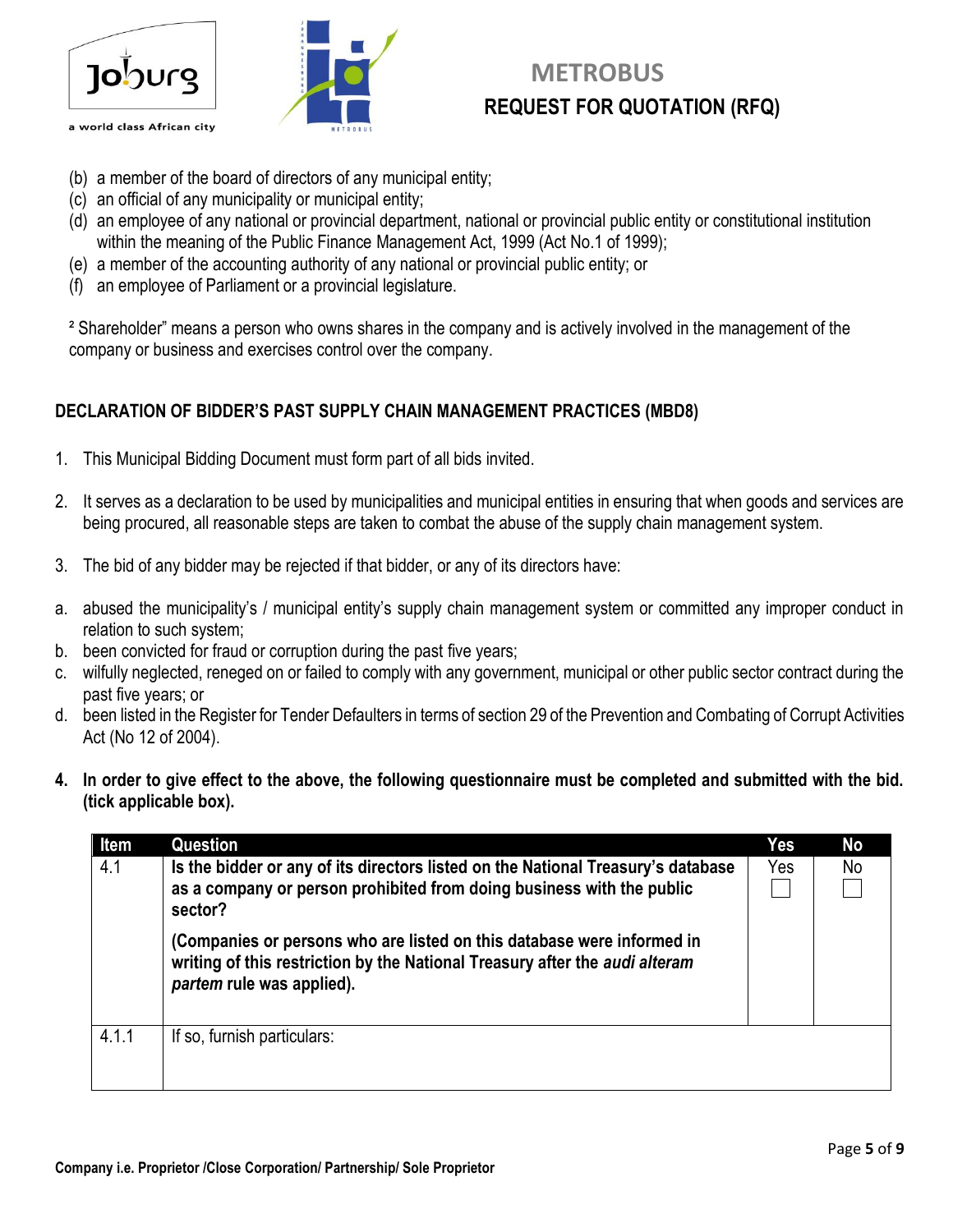



## **METROBUS REQUEST FOR QUOTATION (RFQ)**

- (b) a member of the board of directors of any municipal entity;
- (c) an official of any municipality or municipal entity;
- (d) an employee of any national or provincial department, national or provincial public entity or constitutional institution within the meaning of the Public Finance Management Act, 1999 (Act No.1 of 1999);
- (e) a member of the accounting authority of any national or provincial public entity; or
- (f) an employee of Parliament or a provincial legislature.

² Shareholder" means a person who owns shares in the company and is actively involved in the management of the company or business and exercises control over the company.

## **DECLARATION OF BIDDER'S PAST SUPPLY CHAIN MANAGEMENT PRACTICES (MBD8)**

- 1. This Municipal Bidding Document must form part of all bids invited.
- 2. It serves as a declaration to be used by municipalities and municipal entities in ensuring that when goods and services are being procured, all reasonable steps are taken to combat the abuse of the supply chain management system.
- 3. The bid of any bidder may be rejected if that bidder, or any of its directors have:
- a. abused the municipality's / municipal entity's supply chain management system or committed any improper conduct in relation to such system;
- b. been convicted for fraud or corruption during the past five years;
- c. wilfully neglected, reneged on or failed to comply with any government, municipal or other public sector contract during the past five years; or
- d. been listed in the Register for Tender Defaulters in terms of section 29 of the Prevention and Combating of Corrupt Activities Act (No 12 of 2004).
- **4. In order to give effect to the above, the following questionnaire must be completed and submitted with the bid. (tick applicable box).**

| Item  | Question                                                                                                                                                                           | Yes | <b>No</b> |
|-------|------------------------------------------------------------------------------------------------------------------------------------------------------------------------------------|-----|-----------|
| 4.1   | Is the bidder or any of its directors listed on the National Treasury's database<br>as a company or person prohibited from doing business with the public<br>sector?               | Yes | No        |
|       | (Companies or persons who are listed on this database were informed in<br>writing of this restriction by the National Treasury after the audi alteram<br>partem rule was applied). |     |           |
| 4.1.1 | If so, furnish particulars:                                                                                                                                                        |     |           |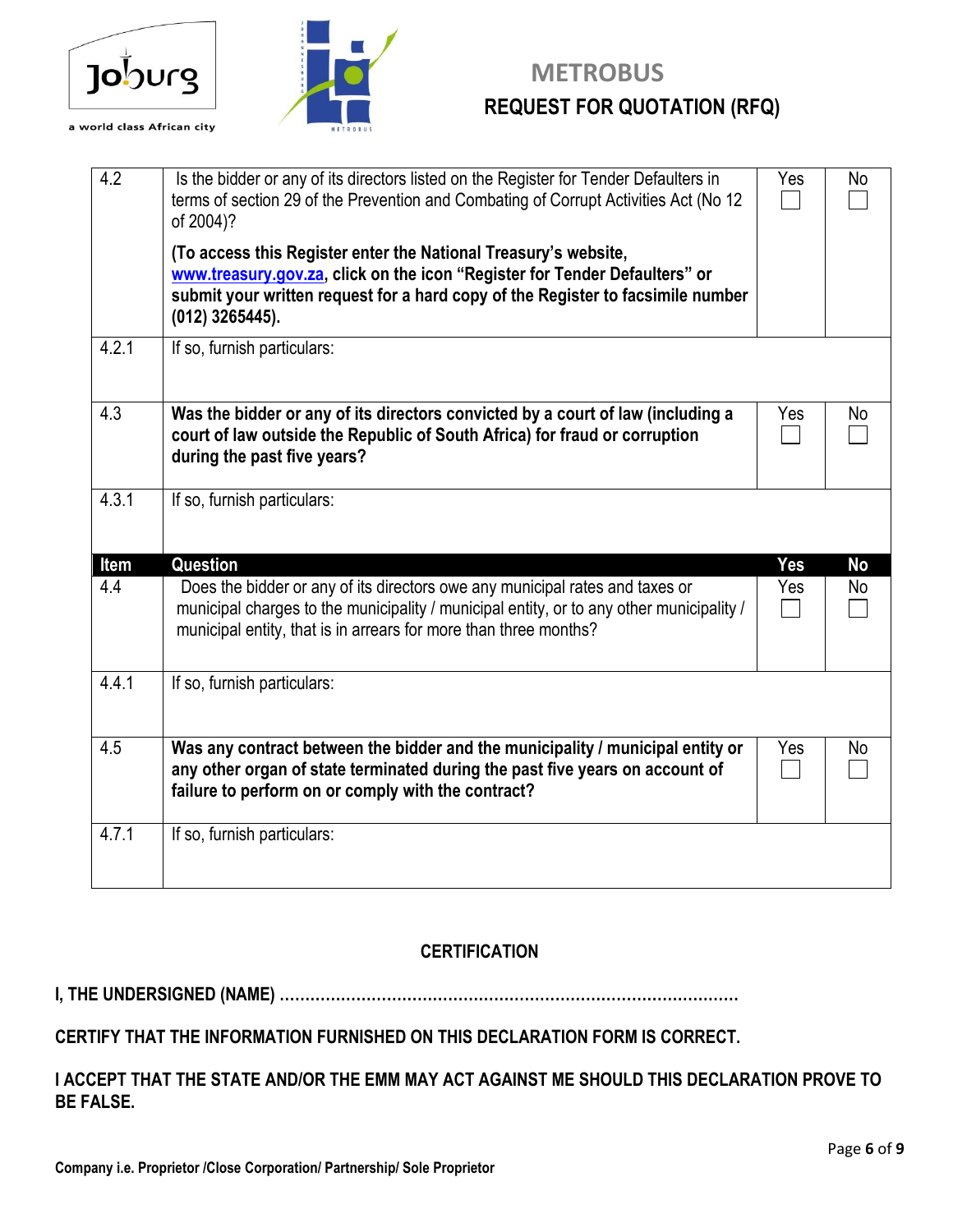



# **TO METROBUS REQUEST FOR QUOTATION (RFQ) REQUEST FOR QUOTATION (RFQ)**

| 4.2   | Is the bidder or any of its directors listed on the Register for Tender Defaulters in<br>terms of section 29 of the Prevention and Combating of Corrupt Activities Act (No 12<br>of 2004)?                                                            | Yes | No        |
|-------|-------------------------------------------------------------------------------------------------------------------------------------------------------------------------------------------------------------------------------------------------------|-----|-----------|
|       | (To access this Register enter the National Treasury's website,<br>www.treasury.gov.za, click on the icon "Register for Tender Defaulters" or<br>submit your written request for a hard copy of the Register to facsimile number<br>$(012)$ 3265445). |     |           |
| 4.2.1 | If so, furnish particulars:                                                                                                                                                                                                                           |     |           |
| 4.3   | Was the bidder or any of its directors convicted by a court of law (including a<br>court of law outside the Republic of South Africa) for fraud or corruption<br>during the past five years?                                                          | Yes | No        |
| 4.3.1 | If so, furnish particulars:                                                                                                                                                                                                                           |     |           |
| Item  | Question                                                                                                                                                                                                                                              | Yes | <b>No</b> |
| 4.4   | Does the bidder or any of its directors owe any municipal rates and taxes or<br>municipal charges to the municipality / municipal entity, or to any other municipality /<br>municipal entity, that is in arrears for more than three months?          | Yes | No        |
| 4.4.1 | If so, furnish particulars:                                                                                                                                                                                                                           |     |           |
| 4.5   | Was any contract between the bidder and the municipality / municipal entity or<br>any other organ of state terminated during the past five years on account of<br>failure to perform on or comply with the contract?                                  | Yes | No        |
| 4.7.1 | If so, furnish particulars:                                                                                                                                                                                                                           |     |           |

## **CERTIFICATION**

**I, THE UNDERSIGNED (NAME) ………………………………………………………………………………**

#### **CERTIFY THAT THE INFORMATION FURNISHED ON THIS DECLARATION FORM IS CORRECT.**

#### **I ACCEPT THAT THE STATE AND/OR THE EMM MAY ACT AGAINST ME SHOULD THIS DECLARATION PROVE TO BE FALSE.**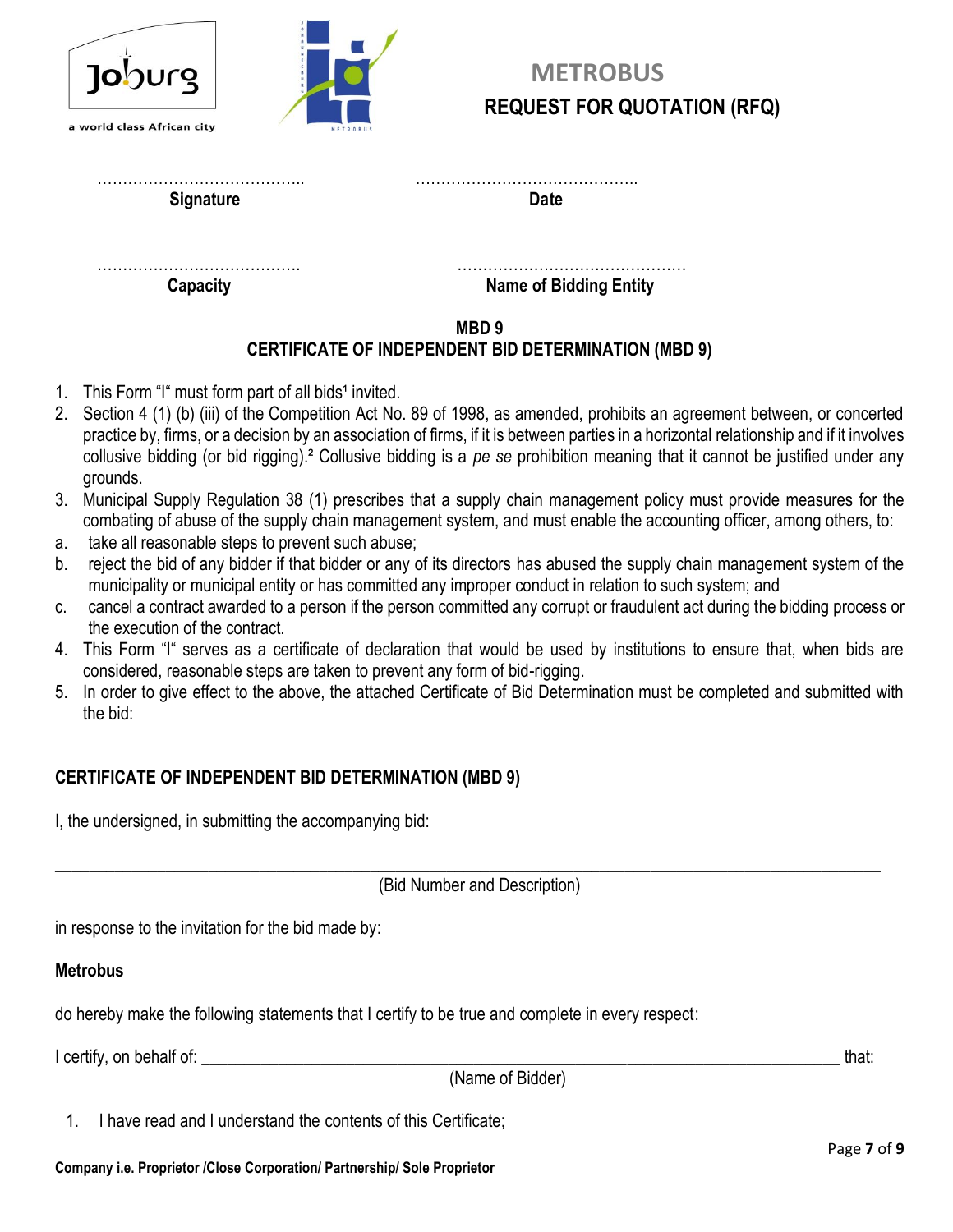| <u> 1010 (101</u>          |  |
|----------------------------|--|
| a world class African city |  |



**Signature Date** 

…………………………………. ……………………………………… **Capacity** Capacity **Capacity Capacity Name of Bidding Entity** 

#### **MBD 9 CERTIFICATE OF INDEPENDENT BID DETERMINATION (MBD 9)**

- 1. This Form "I" must form part of all bids<sup>1</sup> invited.
- 2. Section 4 (1) (b) (iii) of the Competition Act No. 89 of 1998, as amended, prohibits an agreement between, or concerted practice by, firms, or a decision by an association of firms, if it is between parties in a horizontal relationship and if it involves collusive bidding (or bid rigging).² Collusive bidding is a *pe se* prohibition meaning that it cannot be justified under any grounds.
- 3. Municipal Supply Regulation 38 (1) prescribes that a supply chain management policy must provide measures for the combating of abuse of the supply chain management system, and must enable the accounting officer, among others, to:
- a. take all reasonable steps to prevent such abuse;
- b. reject the bid of any bidder if that bidder or any of its directors has abused the supply chain management system of the municipality or municipal entity or has committed any improper conduct in relation to such system; and
- c. cancel a contract awarded to a person if the person committed any corrupt or fraudulent act during the bidding process or the execution of the contract.
- 4. This Form "I" serves as a certificate of declaration that would be used by institutions to ensure that, when bids are considered, reasonable steps are taken to prevent any form of bid-rigging.
- 5. In order to give effect to the above, the attached Certificate of Bid Determination must be completed and submitted with the bid:

## **CERTIFICATE OF INDEPENDENT BID DETERMINATION (MBD 9)**

I, the undersigned, in submitting the accompanying bid:

\_\_\_\_\_\_\_\_\_\_\_\_\_\_\_\_\_\_\_\_\_\_\_\_\_\_\_\_\_\_\_\_\_\_\_\_\_\_\_\_\_\_\_\_\_\_\_\_\_\_\_\_\_\_\_\_\_\_\_\_\_\_\_\_\_\_\_\_\_\_\_\_\_\_\_\_\_\_\_\_\_\_\_\_\_\_\_\_\_\_\_\_\_\_\_\_\_ (Bid Number and Description)

in response to the invitation for the bid made by:

## **Metrobus**

do hereby make the following statements that I certify to be true and complete in every respect:

I certify, on behalf of: the state of the state of the state of the state of the state of the state of the state of the state of the state of the state of the state of the state of the state of the state of the state of th

(Name of Bidder)

1. I have read and I understand the contents of this Certificate;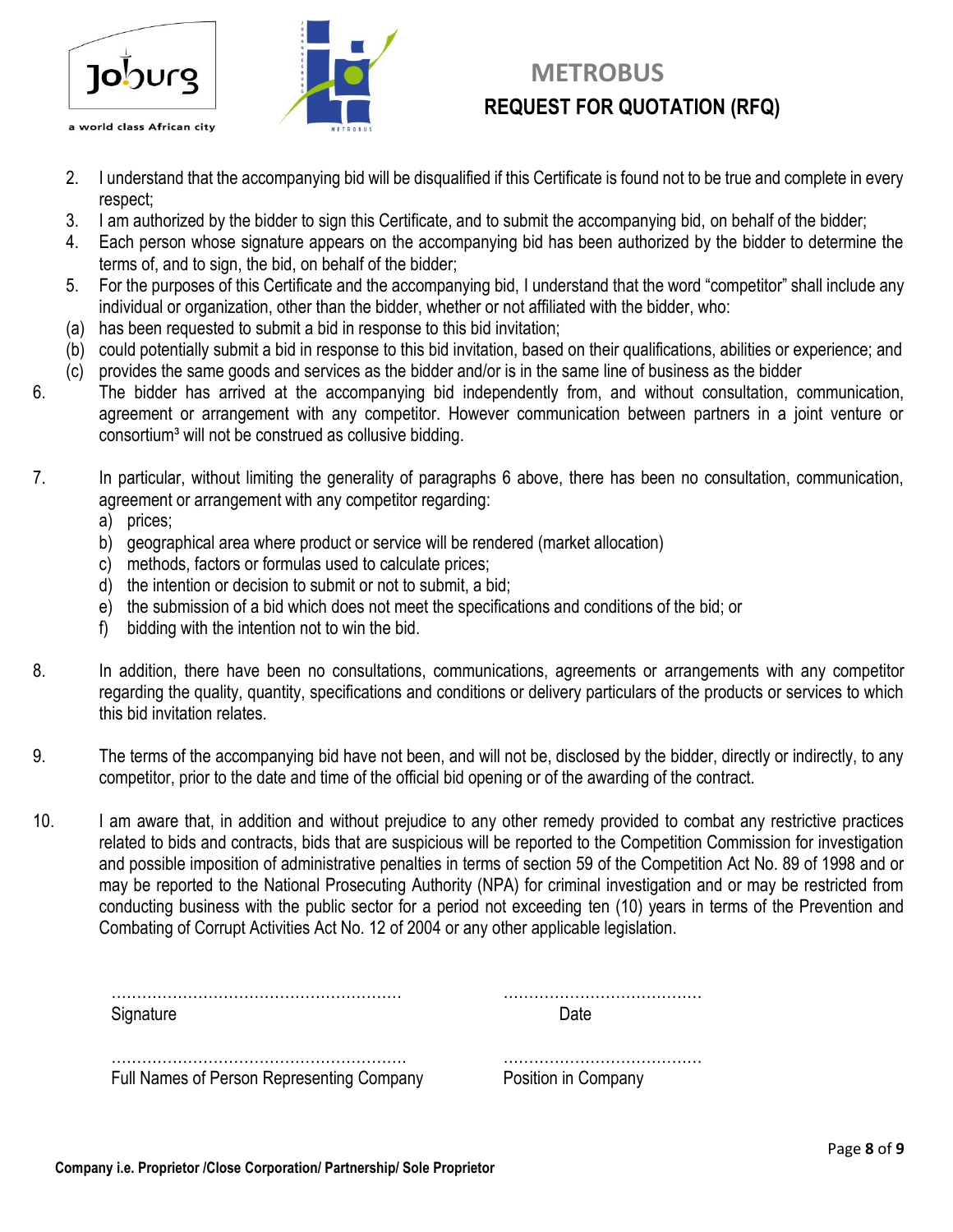



# **METROBUS REQUEST FOR QUOTATION (RFQ)**

- 2. I understand that the accompanying bid will be disqualified if this Certificate is found not to be true and complete in every respect;
- 3. I am authorized by the bidder to sign this Certificate, and to submit the accompanying bid, on behalf of the bidder;
- 4. Each person whose signature appears on the accompanying bid has been authorized by the bidder to determine the terms of, and to sign, the bid, on behalf of the bidder;
- 5. For the purposes of this Certificate and the accompanying bid, I understand that the word "competitor" shall include any individual or organization, other than the bidder, whether or not affiliated with the bidder, who:
- (a) has been requested to submit a bid in response to this bid invitation;
- (b) could potentially submit a bid in response to this bid invitation, based on their qualifications, abilities or experience; and
- (c) provides the same goods and services as the bidder and/or is in the same line of business as the bidder
- 6. The bidder has arrived at the accompanying bid independently from, and without consultation, communication, agreement or arrangement with any competitor. However communication between partners in a joint venture or consortium<sup>3</sup> will not be construed as collusive bidding.
- 7. In particular, without limiting the generality of paragraphs 6 above, there has been no consultation, communication, agreement or arrangement with any competitor regarding:
	- a) prices;
	- b) geographical area where product or service will be rendered (market allocation)
	- c) methods, factors or formulas used to calculate prices;
	- d) the intention or decision to submit or not to submit, a bid;
	- e) the submission of a bid which does not meet the specifications and conditions of the bid; or
	- f) bidding with the intention not to win the bid.
- 8. In addition, there have been no consultations, communications, agreements or arrangements with any competitor regarding the quality, quantity, specifications and conditions or delivery particulars of the products or services to which this bid invitation relates.
- 9. The terms of the accompanying bid have not been, and will not be, disclosed by the bidder, directly or indirectly, to any competitor, prior to the date and time of the official bid opening or of the awarding of the contract.
- 10. I am aware that, in addition and without prejudice to any other remedy provided to combat any restrictive practices related to bids and contracts, bids that are suspicious will be reported to the Competition Commission for investigation and possible imposition of administrative penalties in terms of section 59 of the Competition Act No. 89 of 1998 and or may be reported to the National Prosecuting Authority (NPA) for criminal investigation and or may be restricted from conducting business with the public sector for a period not exceeding ten (10) years in terms of the Prevention and Combating of Corrupt Activities Act No. 12 of 2004 or any other applicable legislation.

| Signature                                 | Date                |
|-------------------------------------------|---------------------|
| Full Names of Person Representing Company | Position in Company |